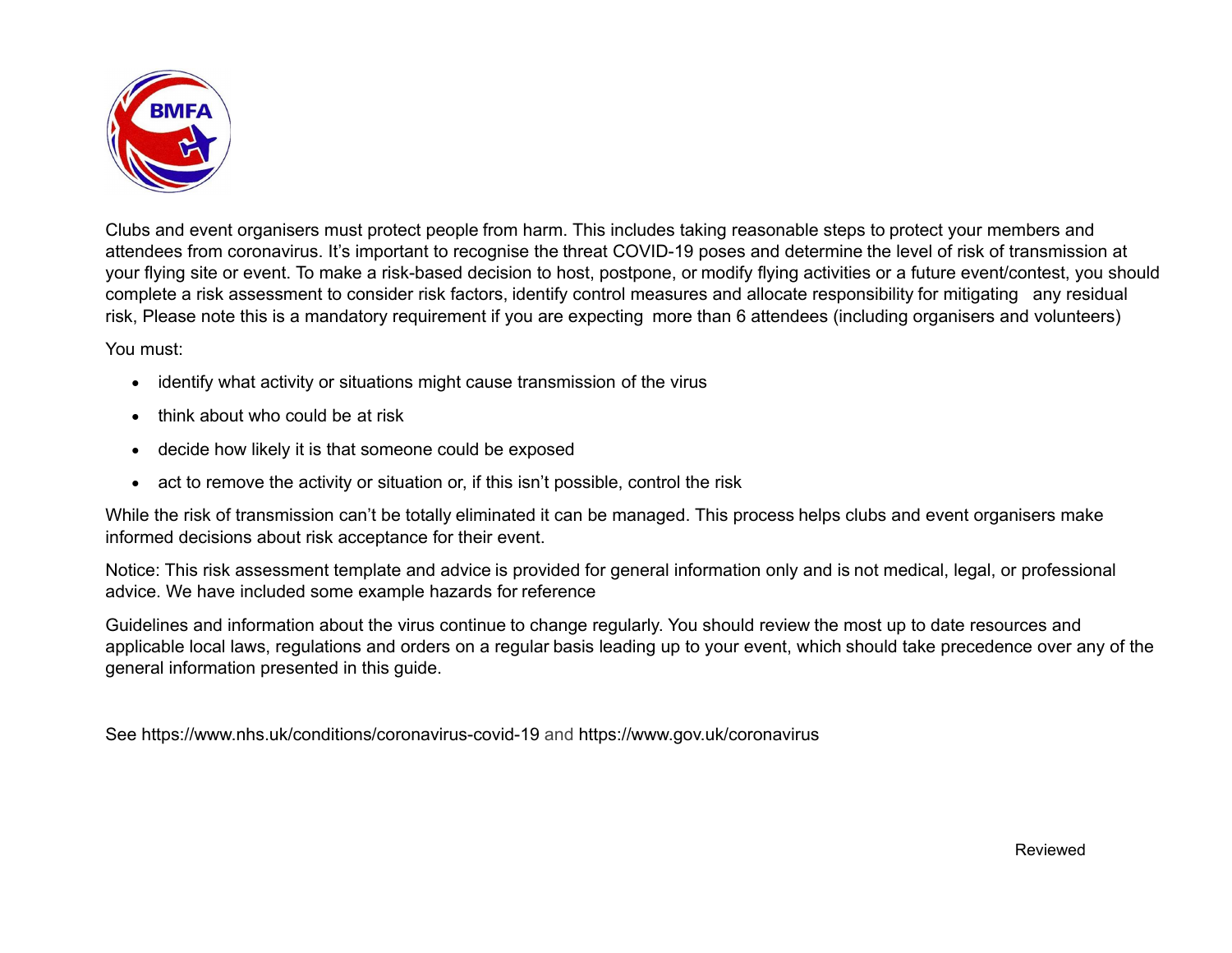

Clubs and event organisers must protect people from harm. This includes taking reasonable steps to protect your members and attendees from coronavirus. It's important to recognise the threat COVID-19 poses and determine the level of risk of transmission at your flying site or event. To make a risk-based decision to host, postpone, or modify flying activities or a future event/contest, you should complete a risk assessment to consider risk factors, identify control measures and allocate responsibility for mitigating any residual risk, Please note this is a mandatory requirement if you are expecting more than 6 attendees (including organisers and volunteers)

You must:

- identify what activity or situations might cause transmission of the virus
- � think about who could be at risk
- � decide how likely it is that someone could be exposed
- act to remove the activity or situation or, if this isn't possible, control the risk

While the risk of transmission can't be totally eliminated it can be managed. This process helps clubs and event organisers make informed decisions about risk acceptance for their event.

Notice: This risk assessment template and advice is provided for general information only and is not medical, legal, or professional advice. We have included some example hazards for reference

Guidelines and information about the virus continue to change regularly. You should review the most up to date resources and applicable local laws, regulations and orders on a regular basis leading up to your event, which should take precedence over any of the general information presented in this guide.

See https://www.nhs.uk/conditions/coronavirus-covid-19 and https://www.gov.uk/coronavirus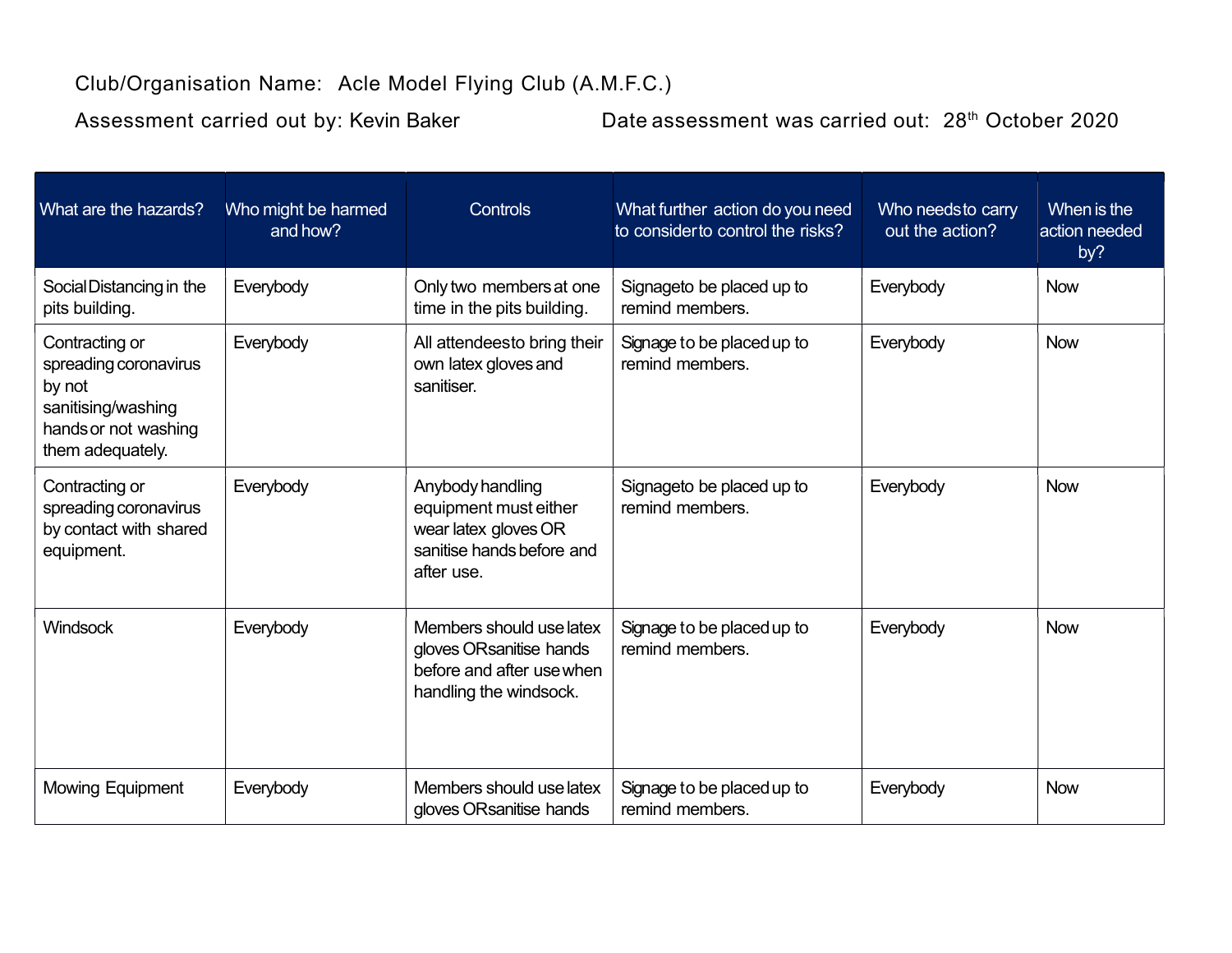## Club/Organisation Name: Acle Model Flying Club (A.M.F.C.)

Assessment carried out by: Kevin Baker Date assessment was carried out: 28<sup>th</sup> October 2020

| What are the hazards?                                                                                               | Who might be harmed<br>and how? | Controls                                                                                                     | What further action do you need<br>to consider to control the risks? | Who needsto carry<br>out the action? | When is the<br>action needed<br>by? |
|---------------------------------------------------------------------------------------------------------------------|---------------------------------|--------------------------------------------------------------------------------------------------------------|----------------------------------------------------------------------|--------------------------------------|-------------------------------------|
| Social Distancing in the<br>pits building.                                                                          | Everybody                       | Only two members at one<br>time in the pits building.                                                        | Signageto be placed up to<br>remind members.                         | Everybody                            | <b>Now</b>                          |
| Contracting or<br>spreading coronavirus<br>by not<br>sanitising/washing<br>hands or not washing<br>them adequately. | Everybody                       | All attendeesto bring their<br>own latex gloves and<br>sanitiser.                                            | Signage to be placed up to<br>remind members.                        | Everybody                            | <b>Now</b>                          |
| Contracting or<br>spreading coronavirus<br>by contact with shared<br>equipment.                                     | Everybody                       | Anybody handling<br>equipment must either<br>wear latex gloves OR<br>sanitise hands before and<br>after use. | Signageto be placed up to<br>remind members.                         | Everybody                            | <b>Now</b>                          |
| Windsock                                                                                                            | Everybody                       | Members should use latex<br>gloves ORsanitise hands<br>before and after use when<br>handling the windsock.   | Signage to be placed up to<br>remind members.                        | Everybody                            | <b>Now</b>                          |
| <b>Mowing Equipment</b>                                                                                             | Everybody                       | Members should use latex<br>gloves ORsanitise hands                                                          | Signage to be placed up to<br>remind members.                        | Everybody                            | <b>Now</b>                          |